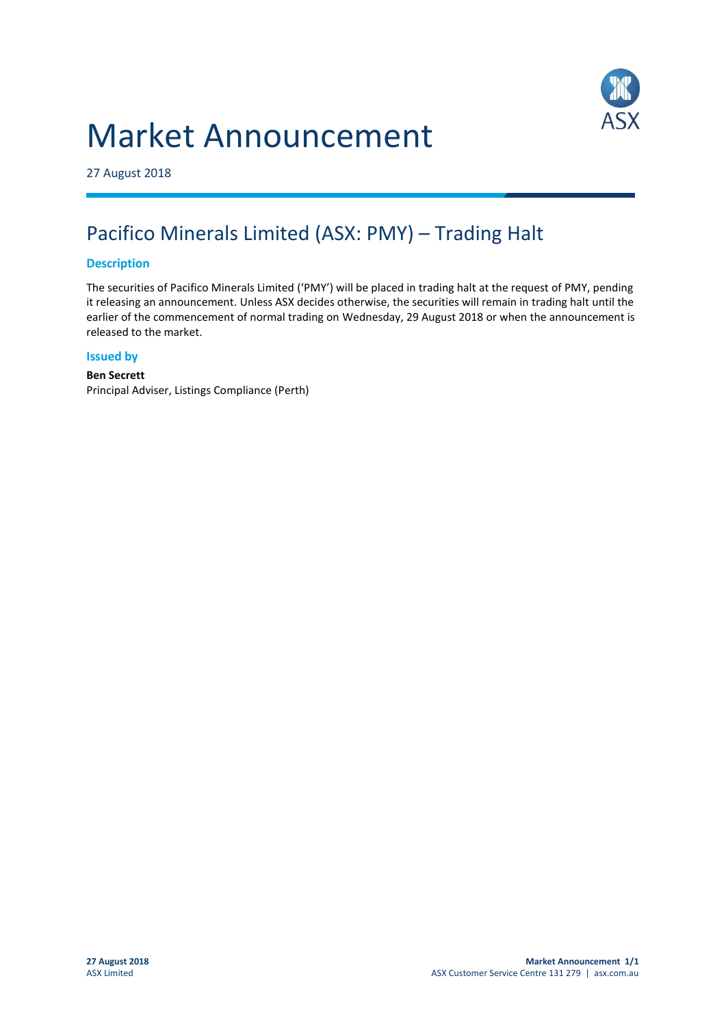# Market Announcement



27 August 2018

## Pacifico Minerals Limited (ASX: PMY) – Trading Halt

### **Description**

The securities of Pacifico Minerals Limited ('PMY') will be placed in trading halt at the request of PMY, pending it releasing an announcement. Unless ASX decides otherwise, the securities will remain in trading halt until the earlier of the commencement of normal trading on Wednesday, 29 August 2018 or when the announcement is released to the market.

#### **Issued by**

#### **Ben Secrett** Principal Adviser, Listings Compliance (Perth)